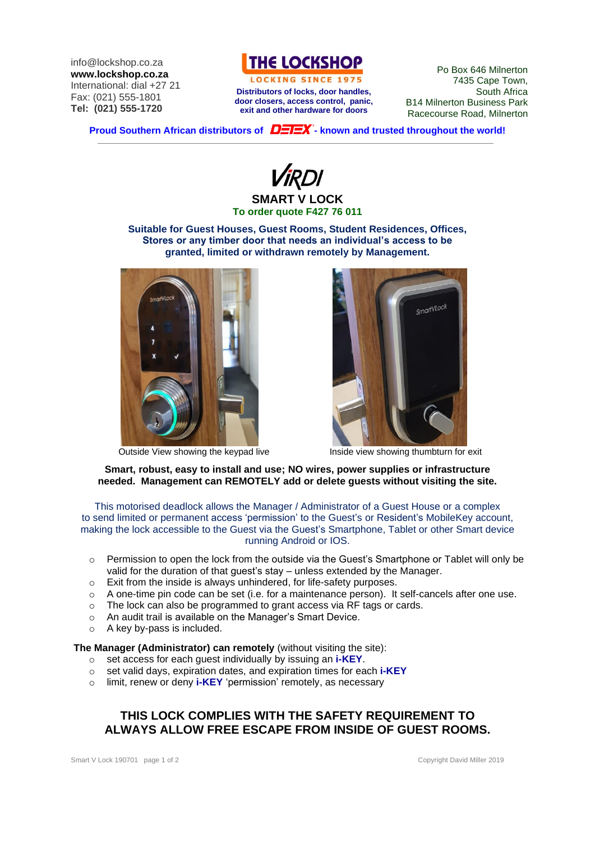info@lockshop.co.za **www.lockshop.co.za** International: dial +27 21 Fax: (021) 555-1801 **Tel: (021) 555-1720**



LOCKING SINCE 1975 **Distributors of locks, door handles, door closers, access control, panic, exit and other hardware for doors**

Po Box 646 Milnerton 7435 Cape Town, South Africa B14 Milnerton Business Park Racecourse Road, Milnerton

**Proud Southern African distributors of**  $\overline{D=I=X}$  **- known and trusted throughout the world!** 

**SMART V LOCK To order quote F427 76 011**

**Suitable for Guest Houses, Guest Rooms, Student Residences, Offices, Stores or any timber door that needs an individual's access to be granted, limited or withdrawn remotely by Management.**



Outside View showing the keypad live Inside view showing thumbturn for exit



**Smart, robust, easy to install and use; NO wires, power supplies or infrastructure needed. Management can REMOTELY add or delete guests without visiting the site.**

This motorised deadlock allows the Manager / Administrator of a Guest House or a complex to send limited or permanent access 'permission' to the Guest's or Resident's MobileKey account, making the lock accessible to the Guest via the Guest's Smartphone, Tablet or other Smart device running Android or IOS.

- o Permission to open the lock from the outside via the Guest's Smartphone or Tablet will only be valid for the duration of that guest's stay – unless extended by the Manager.
- o Exit from the inside is always unhindered, for life-safety purposes.
- o A one-time pin code can be set (i.e. for a maintenance person). It self-cancels after one use.
- The lock can also be programmed to grant access via RF tags or cards. o The lock can also be programmed to grant access via RF<br>
o An audit trail is available on the Manager's Smart Device.
- 
- o A key by-pass is included.

#### **The Manager (Administrator) can remotely** (without visiting the site):

- o set access for each guest individually by issuing an **i-KEY**.
- o set valid days, expiration dates, and expiration times for each **i-KEY**
- o limit, renew or deny **i-KEY** 'permission' remotely, as necessary

## **THIS LOCK COMPLIES WITH THE SAFETY REQUIREMENT TO ALWAYS ALLOW FREE ESCAPE FROM INSIDE OF GUEST ROOMS.**

Smart V Lock 190701 page 1 of 2 Copyright David Miller 2019